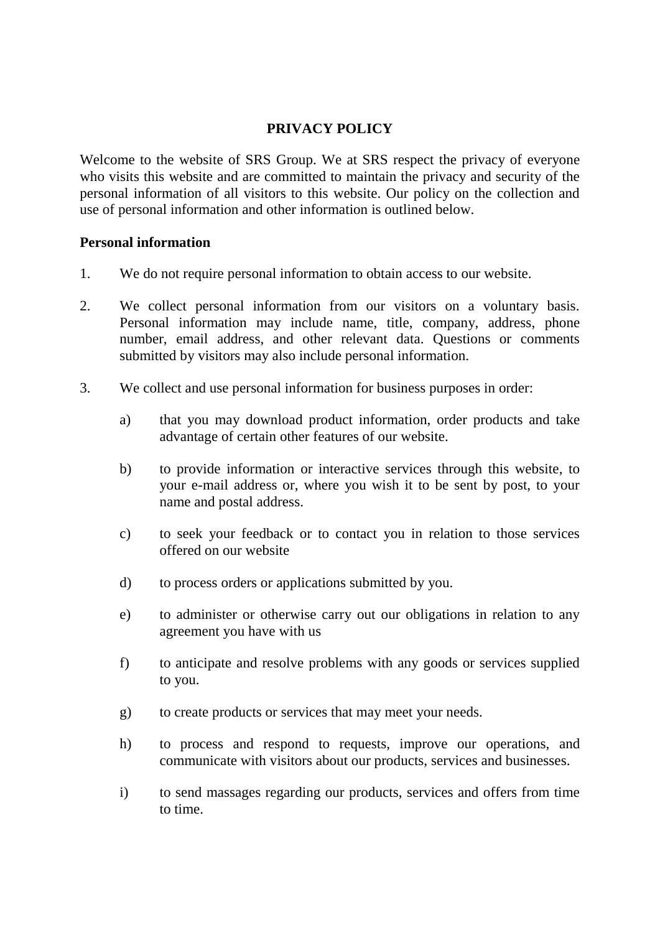## **PRIVACY POLICY**

Welcome to the website of SRS Group. We at SRS respect the privacy of everyone who visits this website and are committed to maintain the privacy and security of the personal information of all visitors to this website. Our policy on the collection and use of personal information and other information is outlined below.

## **Personal information**

- 1. We do not require personal information to obtain access to our website.
- 2. We collect personal information from our visitors on a voluntary basis. Personal information may include name, title, company, address, phone number, email address, and other relevant data. Questions or comments submitted by visitors may also include personal information.
- 3. We collect and use personal information for business purposes in order:
	- a) that you may download product information, order products and take advantage of certain other features of our website.
	- b) to provide information or interactive services through this website, to your e-mail address or, where you wish it to be sent by post, to your name and postal address.
	- c) to seek your feedback or to contact you in relation to those services offered on our website
	- d) to process orders or applications submitted by you.
	- e) to administer or otherwise carry out our obligations in relation to any agreement you have with us
	- f) to anticipate and resolve problems with any goods or services supplied to you.
	- g) to create products or services that may meet your needs.
	- h) to process and respond to requests, improve our operations, and communicate with visitors about our products, services and businesses.
	- i) to send massages regarding our products, services and offers from time to time.